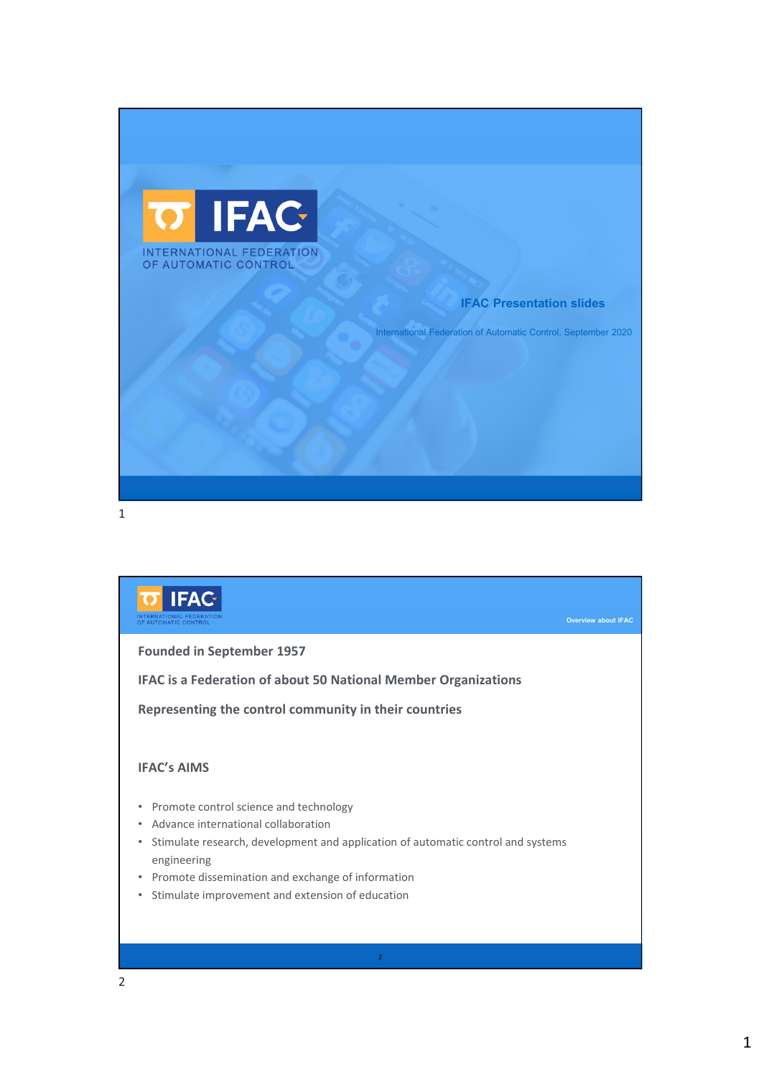

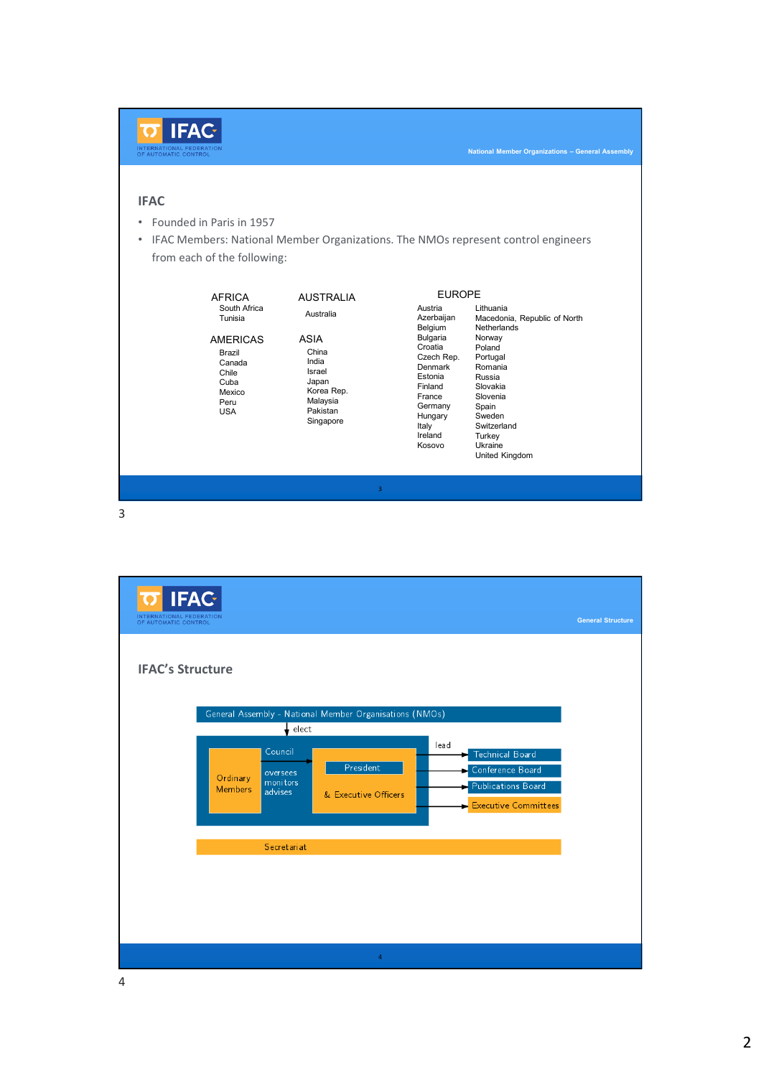| <b>IFAC</b><br>Founded in Paris in 1957<br>$\bullet$<br>IFAC Members: National Member Organizations. The NMOs represent control engineers<br>$\bullet$<br>from each of the following:<br><b>EUROPE</b><br>AUSTRALIA<br>AFRICA<br>South Africa<br>Lithuania<br>Austria<br>Australia<br>Azerbaijan<br>Macedonia, Republic of North<br>Tunisia<br>Belgium<br>Netherlands<br>Bulgaria<br>Norway<br><b>ASIA</b><br><b>AMERICAS</b><br>Croatia<br>Poland<br>China<br>Brazil<br>Czech Rep.<br>Portugal<br>India<br>Canada<br>Denmark<br>Romania<br>Israel<br>Chile<br>Estonia<br>Russia<br>Japan<br>Cuba<br>Finland<br>Slovakia<br>Korea Rep.<br>Mexico<br>France<br>Slovenia<br>Malaysia<br>Peru<br>Germany<br>Spain<br>Pakistan<br><b>USA</b><br>Sweden<br>Hungary<br>Singapore<br>Italy<br>Switzerland<br>Ireland<br>Turkey<br>Kosovo<br>Ukraine<br>United Kingdom | <b>IFAC-</b><br>INTERNATIONAL FEDERATION<br>OF AUTOMATIC CONTROL |  | <b>National Member Organizations - General Assembly</b> |
|----------------------------------------------------------------------------------------------------------------------------------------------------------------------------------------------------------------------------------------------------------------------------------------------------------------------------------------------------------------------------------------------------------------------------------------------------------------------------------------------------------------------------------------------------------------------------------------------------------------------------------------------------------------------------------------------------------------------------------------------------------------------------------------------------------------------------------------------------------------|------------------------------------------------------------------|--|---------------------------------------------------------|
|                                                                                                                                                                                                                                                                                                                                                                                                                                                                                                                                                                                                                                                                                                                                                                                                                                                                |                                                                  |  |                                                         |
|                                                                                                                                                                                                                                                                                                                                                                                                                                                                                                                                                                                                                                                                                                                                                                                                                                                                |                                                                  |  |                                                         |

<mark>त IFAC</mark> **IFAC's Structure** General Assembly - National Member Organisations (NMOs)  $\big\downarrow$  elect lead Council Technical Board President Conference Board oversees<br>monitors<br>advises Ordinary Publications Board Members & Executive Officers  $\blacktriangleright$  Executive Committees Secretariat 4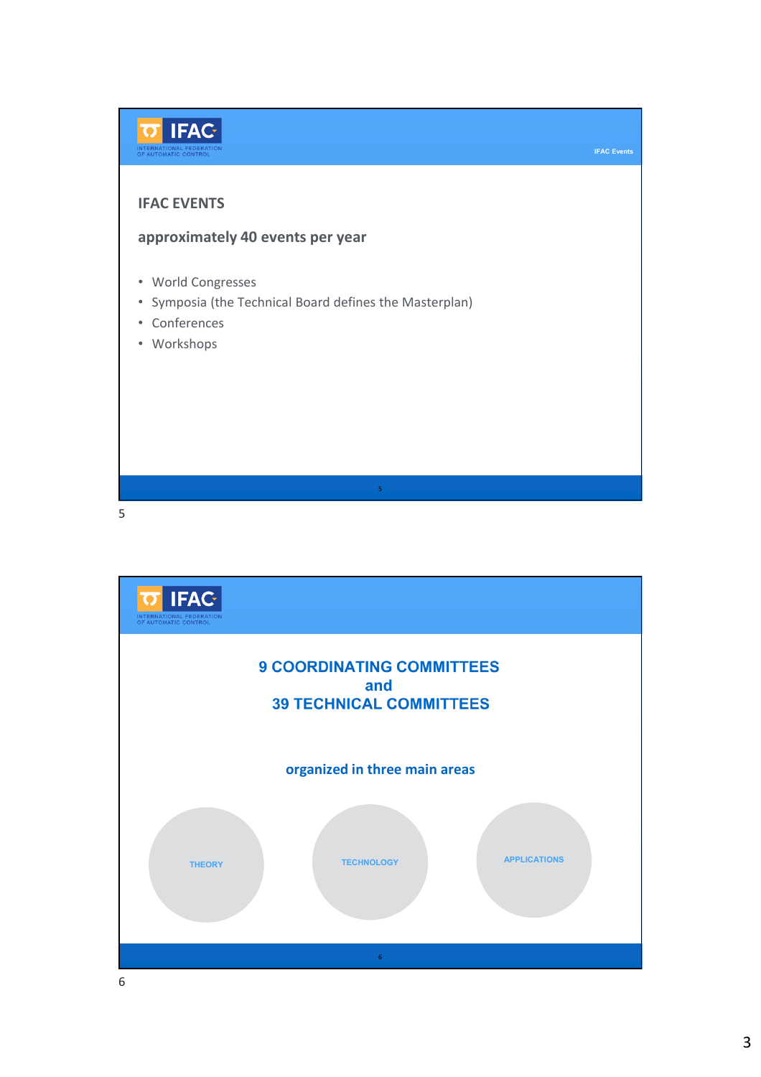

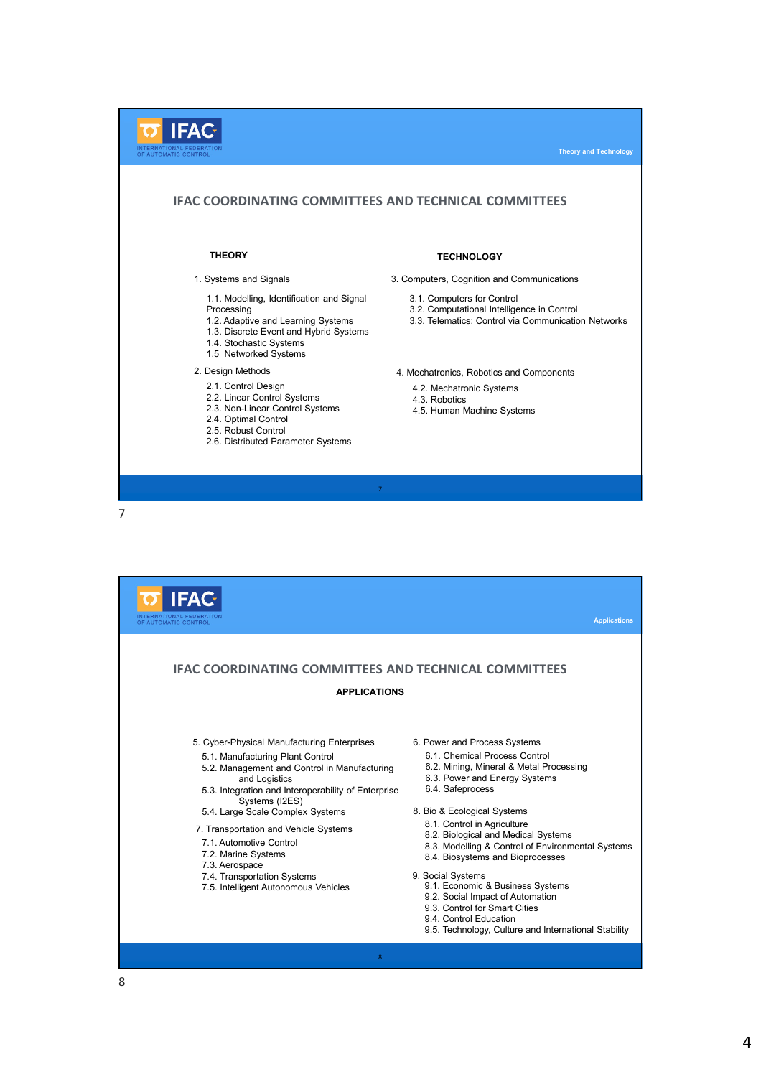

**IFAC Applications IFAC COORDINATING COMMITTEES AND TECHNICAL COMMITTEES APPLICATIONS** 5. Cyber-Physical Manufacturing Enterprises 6. Power and Process Systems 6.1. Chemical Process Control 5.1. Manufacturing Plant Control 5.2. Management and Control in Manufacturing 6.2. Mining, Mineral & Metal Processing and Logistics 6.3. Power and Energy Systems 5.3. Integration and Interoperability of Enterprise 6.4. Safeprocess Systems (I2ES) 5.4. Large Scale Complex Systems 8. Bio & Ecological Systems 8.1. Control in Agriculture 7. Transportation and Vehicle Systems 8.2. Biological and Medical Systems 7.1. Automotive Control 8.3. Modelling & Control of Environmental Systems 7.2. Marine Systems 8.4. Biosystems and Bioprocesses 7.3. Aerospace 7.4. Transportation Systems 9. Social Systems 9.1. Economic & Business Systems 7.5. Intelligent Autonomous Vehicles 9.2. Social Impact of Automation 9.3. Control for Smart Cities 9.4. Control Education 9.5. Technology, Culture and International Stability 8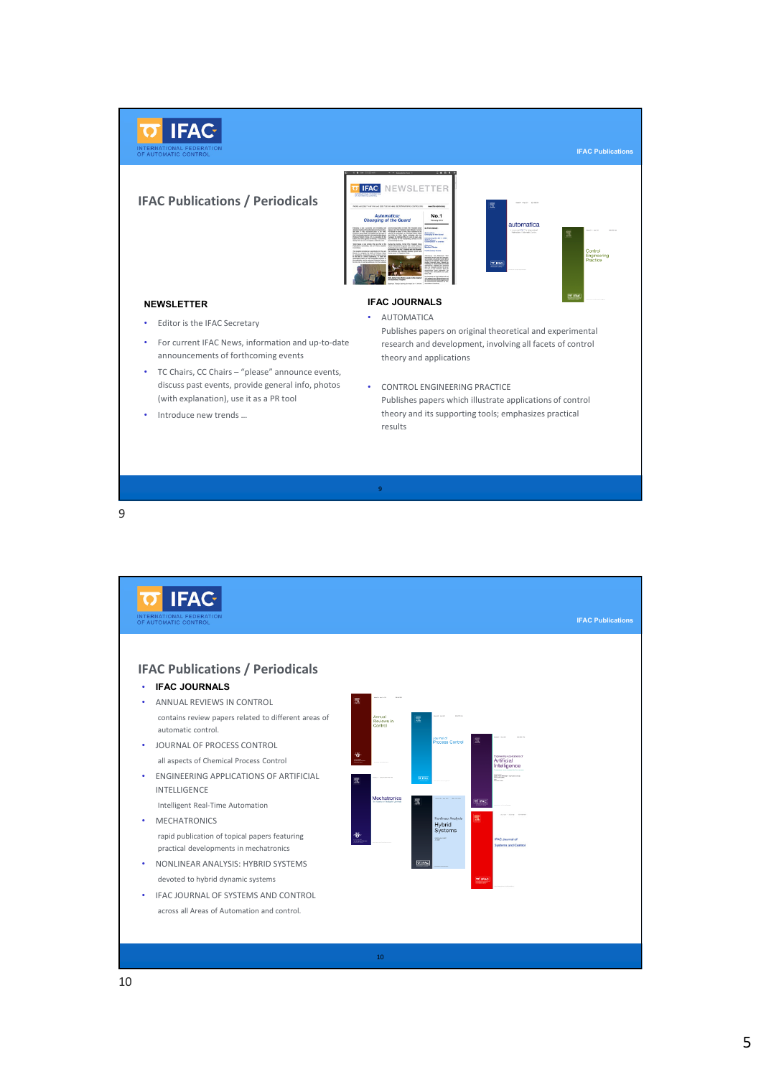

9

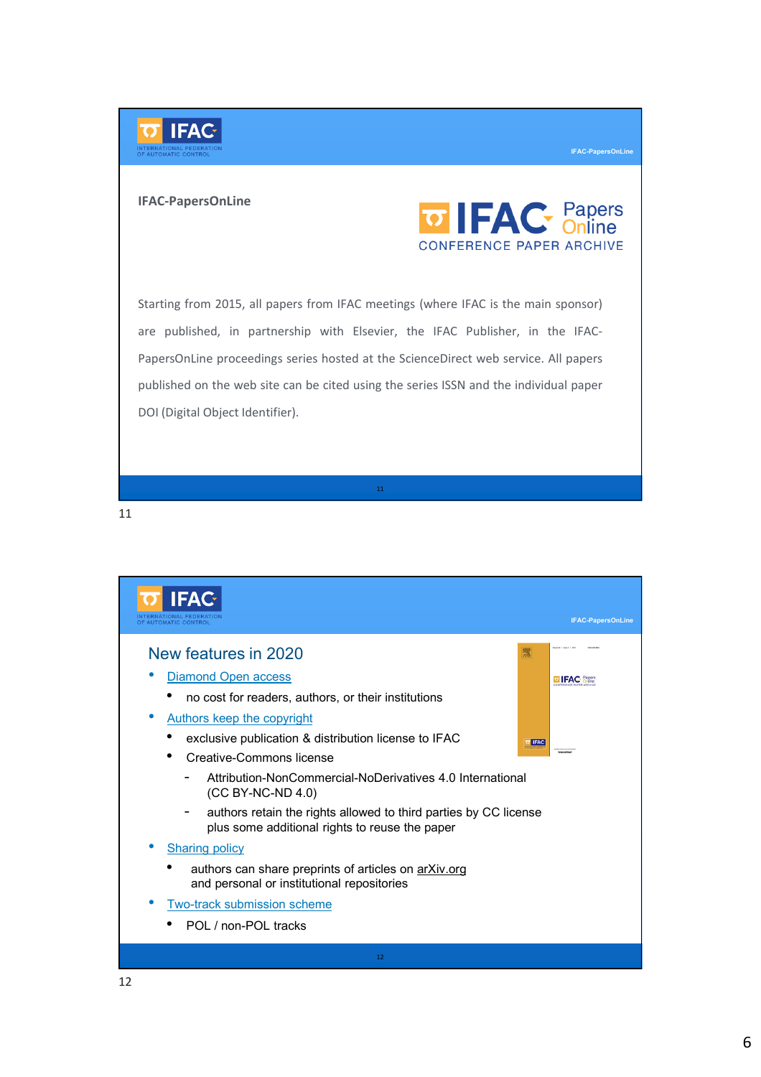

## **IFAC-PapersOnLine**



**IFAC-PapersOnLine**

Starting from 2015, all papers from IFAC meetings (where IFAC is the main sponsor) are published, in partnership with Elsevier, the IFAC Publisher, in the IFAC-PapersOnLine proceedings series hosted at the ScienceDirect web service. All papers published on the web site can be cited using the series ISSN and the individual paper DOI (Digital Object Identifier).

11

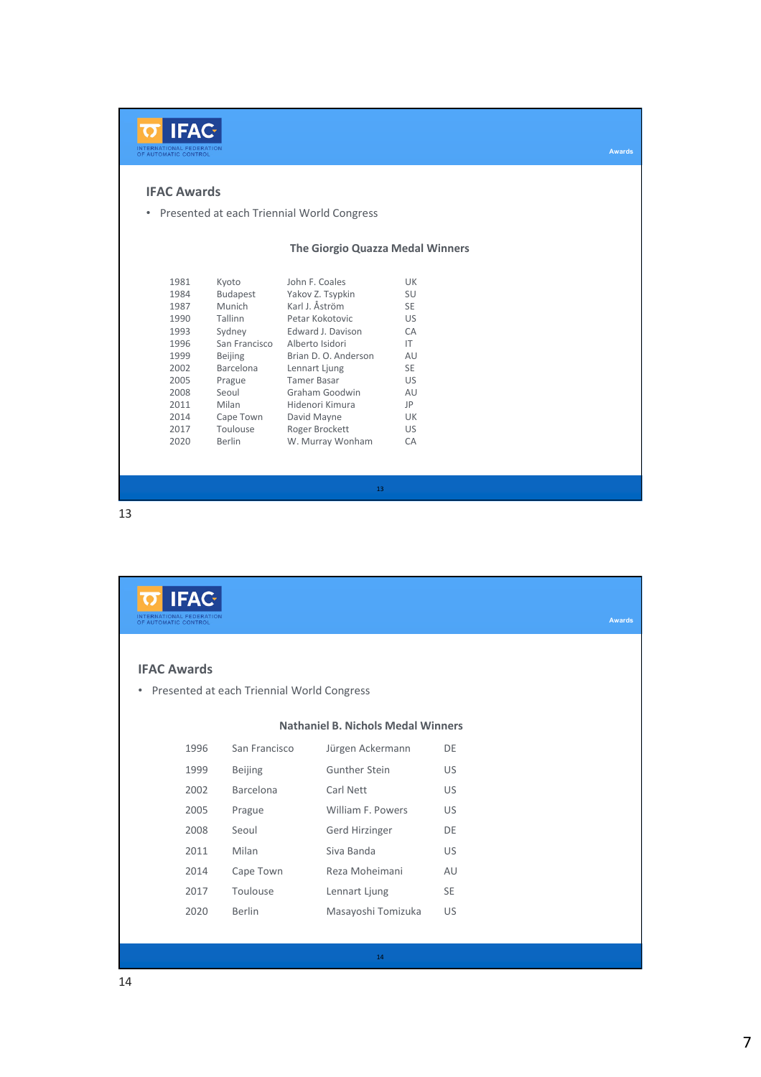

## **IFAC Awards**

• Presented at each Triennial World Congress

## **The Giorgio Quazza Medal Winners**

13

| 1981 | Kyoto           | John F. Coales       | UK        |
|------|-----------------|----------------------|-----------|
| 1984 | <b>Budapest</b> | Yakov Z. Tsypkin     | SU        |
| 1987 | Munich          | Karl J. Åström       | <b>SE</b> |
| 1990 | Tallinn         | Petar Kokotovic      | US        |
| 1993 | Sydney          | Edward J. Davison    | CA        |
| 1996 | San Francisco   | Alberto Isidori      | IT        |
| 1999 | <b>Beijing</b>  | Brian D. O. Anderson | AU        |
| 2002 | Barcelona       | Lennart Ljung        | SE.       |
| 2005 | Prague          | <b>Tamer Basar</b>   | US        |
| 2008 | Seoul           | Graham Goodwin       | AU        |
| 2011 | Milan           | Hidenori Kimura      | JP        |
| 2014 | Cape Town       | David Mayne          | UK        |
| 2017 | Toulouse        | Roger Brockett       | US        |
| 2020 | <b>Berlin</b>   | W. Murray Wonham     | CA        |
|      |                 |                      |           |

| <b>IFAC</b>                                  |                                            |                                           |               |
|----------------------------------------------|--------------------------------------------|-------------------------------------------|---------------|
| NTERNATIONAL FEDERATION<br>AUTOMATIC CONTROL |                                            |                                           | <b>Awards</b> |
|                                              |                                            |                                           |               |
| <b>IFAC Awards</b>                           |                                            |                                           |               |
| $\bullet$                                    | Presented at each Triennial World Congress |                                           |               |
|                                              |                                            | <b>Nathaniel B. Nichols Medal Winners</b> |               |
|                                              |                                            |                                           |               |
| 1996                                         | San Francisco                              | Jürgen Ackermann                          | DE            |
| 1999                                         | <b>Beijing</b>                             | <b>Gunther Stein</b>                      | US            |
| 2002                                         | <b>Barcelona</b>                           | Carl Nett                                 | <b>US</b>     |
| 2005                                         | Prague                                     | William F. Powers                         | <b>US</b>     |
| 2008                                         | Seoul                                      | Gerd Hirzinger                            | DE            |
| 2011                                         | Milan                                      | Siva Banda                                | US.           |
| 2014                                         | Cape Town                                  | Reza Moheimani                            | AU            |
| 2017                                         | Toulouse                                   | Lennart Ljung                             | <b>SE</b>     |
| 2020                                         | <b>Berlin</b>                              | Masayoshi Tomizuka                        | US            |
|                                              |                                            |                                           |               |
|                                              |                                            | 14                                        |               |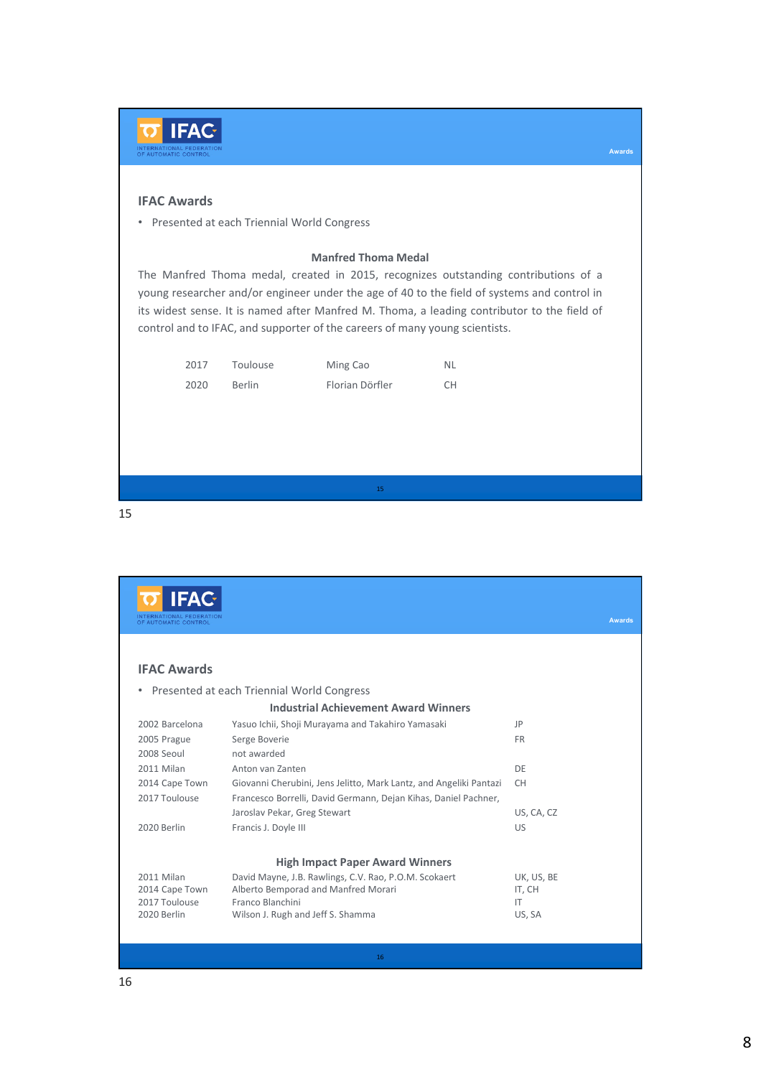| <b>IFAC-</b><br>INTERNATIONAL FEDERATION<br>OF AUTOMATIC CONTROL |              |                                              |                                                                                                           |                                                                                                                                                                                                                                                                                   | <b>Awards</b> |
|------------------------------------------------------------------|--------------|----------------------------------------------|-----------------------------------------------------------------------------------------------------------|-----------------------------------------------------------------------------------------------------------------------------------------------------------------------------------------------------------------------------------------------------------------------------------|---------------|
| <b>IFAC Awards</b>                                               |              | • Presented at each Triennial World Congress |                                                                                                           |                                                                                                                                                                                                                                                                                   |               |
|                                                                  |              |                                              | <b>Manfred Thoma Medal</b><br>control and to IFAC, and supporter of the careers of many young scientists. | The Manfred Thoma medal, created in 2015, recognizes outstanding contributions of a<br>young researcher and/or engineer under the age of 40 to the field of systems and control in<br>its widest sense. It is named after Manfred M. Thoma, a leading contributor to the field of |               |
|                                                                  | 2017<br>2020 | Toulouse<br><b>Berlin</b>                    | Ming Cao<br>Florian Dörfler                                                                               | <b>NL</b><br><b>CH</b>                                                                                                                                                                                                                                                            |               |
|                                                                  |              |                                              | 15                                                                                                        |                                                                                                                                                                                                                                                                                   |               |

**IFAC Awards IFAC Awards** • Presented at each Triennial World Congress **Industrial Achievement Award Winners** 2002 Barcelona Yasuo Ichii, Shoji Murayama and Takahiro Yamasaki JP 2005 Prague Serge Boverie FR 2008 Seoul not awarded 2011 Milan Anton van Zanten DE 2014 Cape Town Giovanni Cherubini, Jens Jelitto, Mark Lantz, and Angeliki Pantazi CH 2017 Toulouse Francesco Borrelli, David Germann, Dejan Kihas, Daniel Pachner, Jaroslav Pekar, Greg Stewart Van American Constantinople US, CA, CZ 2020 Berlin Francis J. Doyle III Case Control and Case Control Control Control Control Control Control Control Co **High Impact Paper Award Winners** 2011 Milan David Mayne, J.B. Rawlings, C.V. Rao, P.O.M. Scokaert UK, US, BE<br>2014 Cape Town Alberto Bemporad and Manfred Morari (IT, CH 2014 Cape Town Alberto Bemporad and Manfred Morari 17, 2017 Toulouse Franco Blanchini Franco Blanchini 2020 Berlin Wilson J. Rugh and Jeff S. Shamma US, SA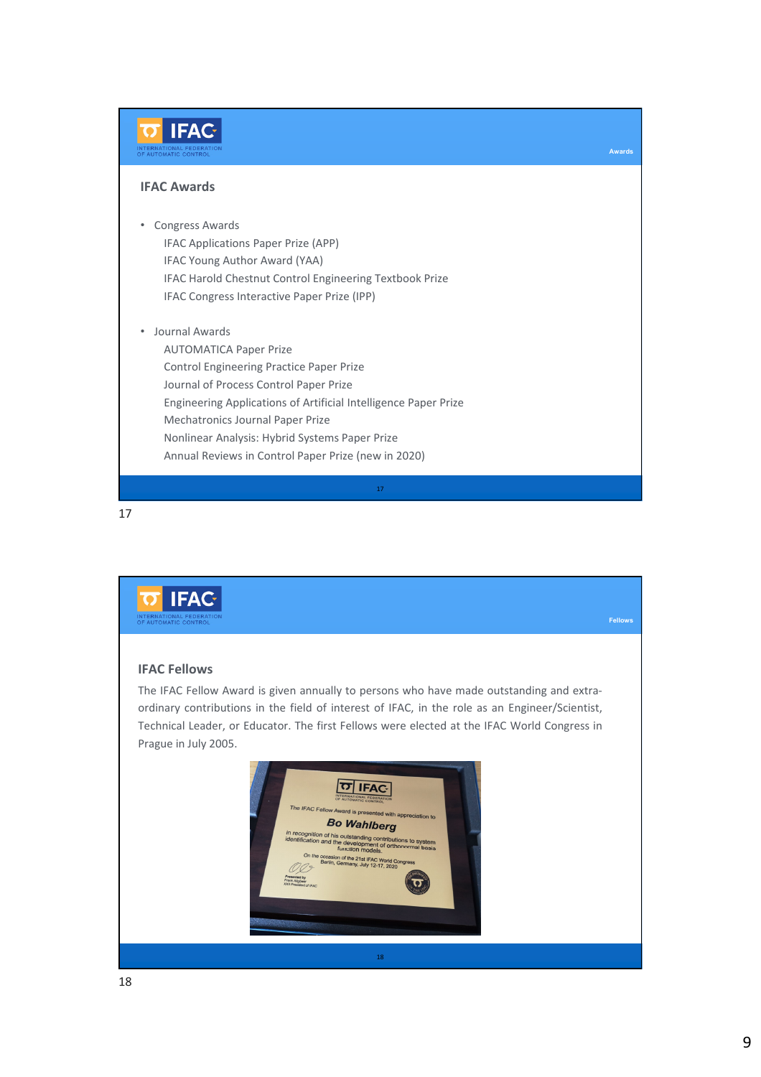